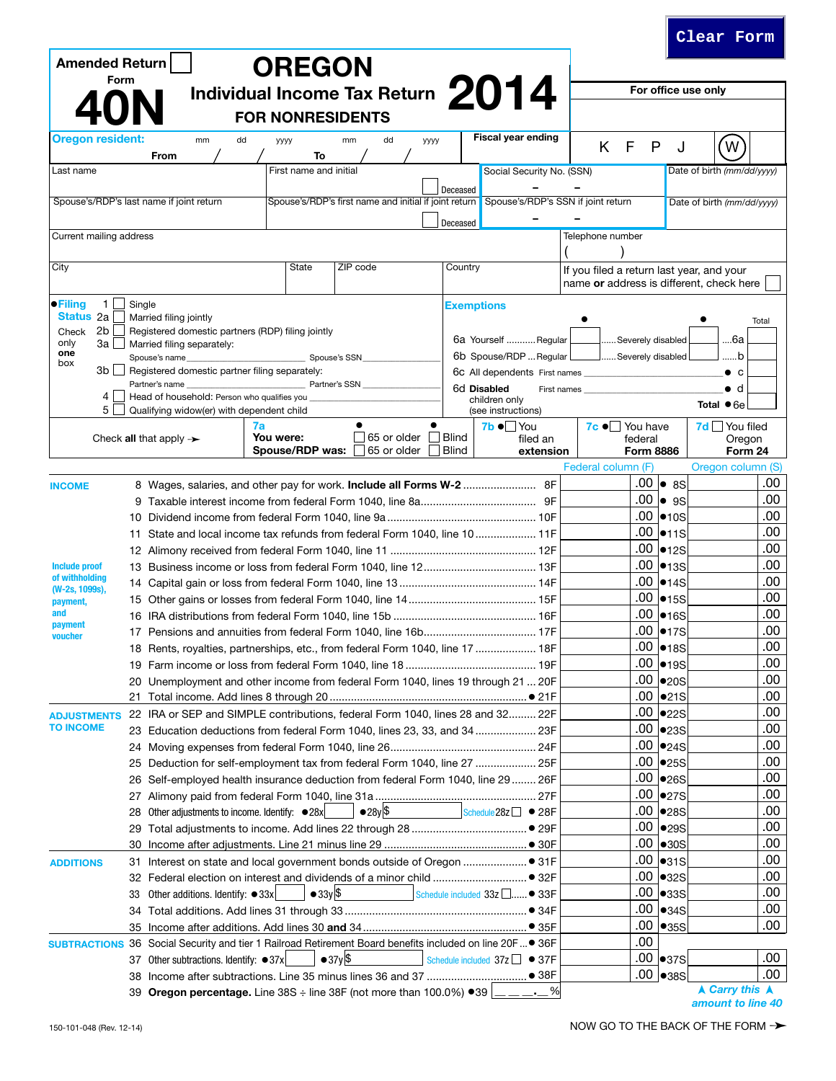| Form<br>Individual Income Tax Return 2014<br>For office use only<br><b>FOR NONRESIDENTS</b><br>Fiscal year ending<br><b>Oregon resident:</b><br>dd<br>dd<br>mm<br>mm<br>уууу<br>уууу<br>F<br>K<br>P<br>W<br>J<br>From<br>To<br>First name and initial<br>Last name<br>Social Security No. (SSN)<br>Date of birth (mm/dd/yyyy)<br>Deceased<br>Spouse's/RDP's first name and initial if joint return Spouse's/RDP's SSN if joint return<br>Spouse's/RDP's last name if joint return<br>Date of birth (mm/dd/yyyy)<br>Deceased<br>Telephone number<br>Current mailing address<br>ZIP code<br>City<br>State<br>Country<br>If you filed a return last year, and your<br>name or address is different, check here<br><b>•Filing</b><br>1<br>Single<br><b>Exemptions</b><br><b>Status 2a</b><br>Married filing jointly<br>Total<br>2b<br>Registered domestic partners (RDP) filing jointly<br>Check<br>6а<br>6a Yourself Regular<br>Severely disabled<br>only<br>За<br>Married filing separately:<br>one<br>6b Spouse/RDP  Regular<br>Severely disabled<br>b<br>Spouse's name<br>Spouse's SSN<br>box<br>$3b \Box$<br>Registered domestic partner filing separately:<br>6c All dependents First names<br>$\bullet$ c<br>Partner's name<br>Partner's SSN<br>6d Disabled<br>$\bullet$ d<br>First names<br>4<br>Head of household: Person who qualifies you<br>children only<br>Total $\bullet$ 6e<br>5 <sup>1</sup><br>Qualifying widow(er) with dependent child<br>(see instructions)<br>$7c \bullet$ You have<br>$7d$ $\Box$ You filed<br>7a<br>$7b \bullet$   You<br>65 or older<br>$\Box$ Blind<br>You were:<br>Check all that apply $\rightarrow$<br>filed an<br>federal<br>Oregon<br>65 or older<br><b>Blind</b><br>Spouse/RDP was:<br><b>Form 8886</b><br>Form 24<br>extension<br>Federal column (F)<br>Oregon column (S)<br>.00<br>$\bullet$ 8S<br>.00<br>8 Wages, salaries, and other pay for work. Include all Forms W-2  8F<br><b>INCOME</b><br>.00<br>.00<br>$\bullet$ 9S<br>.00<br>.00<br>$\bullet$ 10S<br>.00<br>.00<br>•11S<br>State and local income tax refunds from federal Form 1040, line 10 11F<br>11<br>.00<br>.00<br>•12S<br>.00<br>.00<br>•13S<br><b>Include proof</b><br>of withholding<br>.00<br>.00<br>•14S<br>(W-2s, 1099s),<br>.00<br>.00<br>•15S<br>payment,<br>and<br>.00<br>.00<br>•16S<br>payment<br>.00<br>.00<br>•17S<br>voucher<br>.00<br>.00<br>•18S<br>18 Rents, royalties, partnerships, etc., from federal Form 1040, line 17  18F<br>$.00$ $\bullet$ 19S<br>.00<br>.00<br>.00<br>$\bullet$ <sub>20</sub> S<br>Unemployment and other income from federal Form 1040, lines 19 through 21  20F<br>20<br>.00<br>.00<br>$\bullet$ 21S<br>21<br>.00<br>.00<br>•22S<br>IRA or SEP and SIMPLE contributions, federal Form 1040, lines 28 and 32 22F<br>22<br><b>TO INCOME</b><br>.00<br>.00<br>$\bullet$ 23S<br>23<br>.00<br>.00<br>•24S<br>24<br>.00<br>.00<br>•25S<br>Deduction for self-employment tax from federal Form 1040, line 27  25F<br>25<br>.00<br>.00<br>$\bullet$ 26S<br>Self-employed health insurance deduction from federal Form 1040, line 29  26F<br>26<br>.00<br>.00<br>•27S<br>27<br>.00<br>.00<br>$\bullet$ 28y \$<br>Schedule 28z $\Box$ $\bullet$ 28F<br>•28S<br>Other adjustments to income. Identify: ●28x<br>28<br>.00<br>.00<br>$\bullet$ 29S<br>29<br>.00<br>.00<br>$\bullet$ 30S<br>30<br>.00<br>.00<br>•31S<br>31<br><b>ADDITIONS</b><br>.00<br>.00<br>•32S<br>32<br>.00<br>$\bullet$ 33y \$<br>.00<br>$\bullet$ 33S<br>Other additions. Identify: $\bullet$ 33x<br>Schedule included 33z □● 33F<br>33<br>.00<br>.00<br>•34S<br>34<br>.00<br>.00<br>•35S<br>35<br>.00<br>Social Security and tier 1 Railroad Retirement Board benefits included on line 20F ● 36F<br><b>SUBTRACTIONS 36</b><br>$.00 \, \text{e}$ 37S<br>$\bullet$ 37y \$<br>.00<br>Other subtractions. Identify: ● 37x<br>Schedule included $37z$ $\Box$ $\bullet$ 37F<br>37<br>.00.<br>$.00$ $ •38S $<br>39 Oregon percentage. Line 38S ÷ line 38F (not more than 100.0%) $\bullet$ 39 $\boxed{\phantom{2}}$ | <b>Amended Return</b> |  | <b>OREGON</b> |  |    |  |                       |  |
|--------------------------------------------------------------------------------------------------------------------------------------------------------------------------------------------------------------------------------------------------------------------------------------------------------------------------------------------------------------------------------------------------------------------------------------------------------------------------------------------------------------------------------------------------------------------------------------------------------------------------------------------------------------------------------------------------------------------------------------------------------------------------------------------------------------------------------------------------------------------------------------------------------------------------------------------------------------------------------------------------------------------------------------------------------------------------------------------------------------------------------------------------------------------------------------------------------------------------------------------------------------------------------------------------------------------------------------------------------------------------------------------------------------------------------------------------------------------------------------------------------------------------------------------------------------------------------------------------------------------------------------------------------------------------------------------------------------------------------------------------------------------------------------------------------------------------------------------------------------------------------------------------------------------------------------------------------------------------------------------------------------------------------------------------------------------------------------------------------------------------------------------------------------------------------------------------------------------------------------------------------------------------------------------------------------------------------------------------------------------------------------------------------------------------------------------------------------------------------------------------------------------------------------------------------------------------------------------------------------------------------------------------------------------------------------------------------------------------------------------------------------------------------------------------------------------------------------------------------------------------------------------------------------------------------------------------------------------------------------------------------------------------------------------------------------------------------------------------------------------------------------------------------------------------------------------------------------------------------------------------------------------------------------------------------------------------------------------------------------------------------------------------------------------------------------------------------------------------------------------------------------------------------------------------------------------------------------------------------------------------------------------------------------------------------------------------------------------------------------------------------------------------------------------------------------------------------------------------------------------------------------------------------------------------------------------------------------------------------------------------------------------------------------|-----------------------|--|---------------|--|----|--|-----------------------|--|
|                                                                                                                                                                                                                                                                                                                                                                                                                                                                                                                                                                                                                                                                                                                                                                                                                                                                                                                                                                                                                                                                                                                                                                                                                                                                                                                                                                                                                                                                                                                                                                                                                                                                                                                                                                                                                                                                                                                                                                                                                                                                                                                                                                                                                                                                                                                                                                                                                                                                                                                                                                                                                                                                                                                                                                                                                                                                                                                                                                                                                                                                                                                                                                                                                                                                                                                                                                                                                                                                                                                                                                                                                                                                                                                                                                                                                                                                                                                                                                                                                                      |                       |  |               |  |    |  |                       |  |
|                                                                                                                                                                                                                                                                                                                                                                                                                                                                                                                                                                                                                                                                                                                                                                                                                                                                                                                                                                                                                                                                                                                                                                                                                                                                                                                                                                                                                                                                                                                                                                                                                                                                                                                                                                                                                                                                                                                                                                                                                                                                                                                                                                                                                                                                                                                                                                                                                                                                                                                                                                                                                                                                                                                                                                                                                                                                                                                                                                                                                                                                                                                                                                                                                                                                                                                                                                                                                                                                                                                                                                                                                                                                                                                                                                                                                                                                                                                                                                                                                                      |                       |  |               |  |    |  |                       |  |
|                                                                                                                                                                                                                                                                                                                                                                                                                                                                                                                                                                                                                                                                                                                                                                                                                                                                                                                                                                                                                                                                                                                                                                                                                                                                                                                                                                                                                                                                                                                                                                                                                                                                                                                                                                                                                                                                                                                                                                                                                                                                                                                                                                                                                                                                                                                                                                                                                                                                                                                                                                                                                                                                                                                                                                                                                                                                                                                                                                                                                                                                                                                                                                                                                                                                                                                                                                                                                                                                                                                                                                                                                                                                                                                                                                                                                                                                                                                                                                                                                                      |                       |  |               |  |    |  |                       |  |
|                                                                                                                                                                                                                                                                                                                                                                                                                                                                                                                                                                                                                                                                                                                                                                                                                                                                                                                                                                                                                                                                                                                                                                                                                                                                                                                                                                                                                                                                                                                                                                                                                                                                                                                                                                                                                                                                                                                                                                                                                                                                                                                                                                                                                                                                                                                                                                                                                                                                                                                                                                                                                                                                                                                                                                                                                                                                                                                                                                                                                                                                                                                                                                                                                                                                                                                                                                                                                                                                                                                                                                                                                                                                                                                                                                                                                                                                                                                                                                                                                                      |                       |  |               |  |    |  |                       |  |
|                                                                                                                                                                                                                                                                                                                                                                                                                                                                                                                                                                                                                                                                                                                                                                                                                                                                                                                                                                                                                                                                                                                                                                                                                                                                                                                                                                                                                                                                                                                                                                                                                                                                                                                                                                                                                                                                                                                                                                                                                                                                                                                                                                                                                                                                                                                                                                                                                                                                                                                                                                                                                                                                                                                                                                                                                                                                                                                                                                                                                                                                                                                                                                                                                                                                                                                                                                                                                                                                                                                                                                                                                                                                                                                                                                                                                                                                                                                                                                                                                                      |                       |  |               |  |    |  |                       |  |
|                                                                                                                                                                                                                                                                                                                                                                                                                                                                                                                                                                                                                                                                                                                                                                                                                                                                                                                                                                                                                                                                                                                                                                                                                                                                                                                                                                                                                                                                                                                                                                                                                                                                                                                                                                                                                                                                                                                                                                                                                                                                                                                                                                                                                                                                                                                                                                                                                                                                                                                                                                                                                                                                                                                                                                                                                                                                                                                                                                                                                                                                                                                                                                                                                                                                                                                                                                                                                                                                                                                                                                                                                                                                                                                                                                                                                                                                                                                                                                                                                                      |                       |  |               |  |    |  |                       |  |
|                                                                                                                                                                                                                                                                                                                                                                                                                                                                                                                                                                                                                                                                                                                                                                                                                                                                                                                                                                                                                                                                                                                                                                                                                                                                                                                                                                                                                                                                                                                                                                                                                                                                                                                                                                                                                                                                                                                                                                                                                                                                                                                                                                                                                                                                                                                                                                                                                                                                                                                                                                                                                                                                                                                                                                                                                                                                                                                                                                                                                                                                                                                                                                                                                                                                                                                                                                                                                                                                                                                                                                                                                                                                                                                                                                                                                                                                                                                                                                                                                                      |                       |  |               |  |    |  |                       |  |
|                                                                                                                                                                                                                                                                                                                                                                                                                                                                                                                                                                                                                                                                                                                                                                                                                                                                                                                                                                                                                                                                                                                                                                                                                                                                                                                                                                                                                                                                                                                                                                                                                                                                                                                                                                                                                                                                                                                                                                                                                                                                                                                                                                                                                                                                                                                                                                                                                                                                                                                                                                                                                                                                                                                                                                                                                                                                                                                                                                                                                                                                                                                                                                                                                                                                                                                                                                                                                                                                                                                                                                                                                                                                                                                                                                                                                                                                                                                                                                                                                                      |                       |  |               |  |    |  |                       |  |
|                                                                                                                                                                                                                                                                                                                                                                                                                                                                                                                                                                                                                                                                                                                                                                                                                                                                                                                                                                                                                                                                                                                                                                                                                                                                                                                                                                                                                                                                                                                                                                                                                                                                                                                                                                                                                                                                                                                                                                                                                                                                                                                                                                                                                                                                                                                                                                                                                                                                                                                                                                                                                                                                                                                                                                                                                                                                                                                                                                                                                                                                                                                                                                                                                                                                                                                                                                                                                                                                                                                                                                                                                                                                                                                                                                                                                                                                                                                                                                                                                                      |                       |  |               |  |    |  |                       |  |
|                                                                                                                                                                                                                                                                                                                                                                                                                                                                                                                                                                                                                                                                                                                                                                                                                                                                                                                                                                                                                                                                                                                                                                                                                                                                                                                                                                                                                                                                                                                                                                                                                                                                                                                                                                                                                                                                                                                                                                                                                                                                                                                                                                                                                                                                                                                                                                                                                                                                                                                                                                                                                                                                                                                                                                                                                                                                                                                                                                                                                                                                                                                                                                                                                                                                                                                                                                                                                                                                                                                                                                                                                                                                                                                                                                                                                                                                                                                                                                                                                                      |                       |  |               |  |    |  |                       |  |
|                                                                                                                                                                                                                                                                                                                                                                                                                                                                                                                                                                                                                                                                                                                                                                                                                                                                                                                                                                                                                                                                                                                                                                                                                                                                                                                                                                                                                                                                                                                                                                                                                                                                                                                                                                                                                                                                                                                                                                                                                                                                                                                                                                                                                                                                                                                                                                                                                                                                                                                                                                                                                                                                                                                                                                                                                                                                                                                                                                                                                                                                                                                                                                                                                                                                                                                                                                                                                                                                                                                                                                                                                                                                                                                                                                                                                                                                                                                                                                                                                                      |                       |  |               |  |    |  |                       |  |
|                                                                                                                                                                                                                                                                                                                                                                                                                                                                                                                                                                                                                                                                                                                                                                                                                                                                                                                                                                                                                                                                                                                                                                                                                                                                                                                                                                                                                                                                                                                                                                                                                                                                                                                                                                                                                                                                                                                                                                                                                                                                                                                                                                                                                                                                                                                                                                                                                                                                                                                                                                                                                                                                                                                                                                                                                                                                                                                                                                                                                                                                                                                                                                                                                                                                                                                                                                                                                                                                                                                                                                                                                                                                                                                                                                                                                                                                                                                                                                                                                                      |                       |  |               |  |    |  |                       |  |
|                                                                                                                                                                                                                                                                                                                                                                                                                                                                                                                                                                                                                                                                                                                                                                                                                                                                                                                                                                                                                                                                                                                                                                                                                                                                                                                                                                                                                                                                                                                                                                                                                                                                                                                                                                                                                                                                                                                                                                                                                                                                                                                                                                                                                                                                                                                                                                                                                                                                                                                                                                                                                                                                                                                                                                                                                                                                                                                                                                                                                                                                                                                                                                                                                                                                                                                                                                                                                                                                                                                                                                                                                                                                                                                                                                                                                                                                                                                                                                                                                                      |                       |  |               |  |    |  |                       |  |
|                                                                                                                                                                                                                                                                                                                                                                                                                                                                                                                                                                                                                                                                                                                                                                                                                                                                                                                                                                                                                                                                                                                                                                                                                                                                                                                                                                                                                                                                                                                                                                                                                                                                                                                                                                                                                                                                                                                                                                                                                                                                                                                                                                                                                                                                                                                                                                                                                                                                                                                                                                                                                                                                                                                                                                                                                                                                                                                                                                                                                                                                                                                                                                                                                                                                                                                                                                                                                                                                                                                                                                                                                                                                                                                                                                                                                                                                                                                                                                                                                                      |                       |  |               |  |    |  |                       |  |
|                                                                                                                                                                                                                                                                                                                                                                                                                                                                                                                                                                                                                                                                                                                                                                                                                                                                                                                                                                                                                                                                                                                                                                                                                                                                                                                                                                                                                                                                                                                                                                                                                                                                                                                                                                                                                                                                                                                                                                                                                                                                                                                                                                                                                                                                                                                                                                                                                                                                                                                                                                                                                                                                                                                                                                                                                                                                                                                                                                                                                                                                                                                                                                                                                                                                                                                                                                                                                                                                                                                                                                                                                                                                                                                                                                                                                                                                                                                                                                                                                                      |                       |  |               |  |    |  |                       |  |
|                                                                                                                                                                                                                                                                                                                                                                                                                                                                                                                                                                                                                                                                                                                                                                                                                                                                                                                                                                                                                                                                                                                                                                                                                                                                                                                                                                                                                                                                                                                                                                                                                                                                                                                                                                                                                                                                                                                                                                                                                                                                                                                                                                                                                                                                                                                                                                                                                                                                                                                                                                                                                                                                                                                                                                                                                                                                                                                                                                                                                                                                                                                                                                                                                                                                                                                                                                                                                                                                                                                                                                                                                                                                                                                                                                                                                                                                                                                                                                                                                                      |                       |  |               |  |    |  |                       |  |
|                                                                                                                                                                                                                                                                                                                                                                                                                                                                                                                                                                                                                                                                                                                                                                                                                                                                                                                                                                                                                                                                                                                                                                                                                                                                                                                                                                                                                                                                                                                                                                                                                                                                                                                                                                                                                                                                                                                                                                                                                                                                                                                                                                                                                                                                                                                                                                                                                                                                                                                                                                                                                                                                                                                                                                                                                                                                                                                                                                                                                                                                                                                                                                                                                                                                                                                                                                                                                                                                                                                                                                                                                                                                                                                                                                                                                                                                                                                                                                                                                                      |                       |  |               |  |    |  |                       |  |
|                                                                                                                                                                                                                                                                                                                                                                                                                                                                                                                                                                                                                                                                                                                                                                                                                                                                                                                                                                                                                                                                                                                                                                                                                                                                                                                                                                                                                                                                                                                                                                                                                                                                                                                                                                                                                                                                                                                                                                                                                                                                                                                                                                                                                                                                                                                                                                                                                                                                                                                                                                                                                                                                                                                                                                                                                                                                                                                                                                                                                                                                                                                                                                                                                                                                                                                                                                                                                                                                                                                                                                                                                                                                                                                                                                                                                                                                                                                                                                                                                                      |                       |  |               |  |    |  |                       |  |
|                                                                                                                                                                                                                                                                                                                                                                                                                                                                                                                                                                                                                                                                                                                                                                                                                                                                                                                                                                                                                                                                                                                                                                                                                                                                                                                                                                                                                                                                                                                                                                                                                                                                                                                                                                                                                                                                                                                                                                                                                                                                                                                                                                                                                                                                                                                                                                                                                                                                                                                                                                                                                                                                                                                                                                                                                                                                                                                                                                                                                                                                                                                                                                                                                                                                                                                                                                                                                                                                                                                                                                                                                                                                                                                                                                                                                                                                                                                                                                                                                                      |                       |  |               |  |    |  |                       |  |
|                                                                                                                                                                                                                                                                                                                                                                                                                                                                                                                                                                                                                                                                                                                                                                                                                                                                                                                                                                                                                                                                                                                                                                                                                                                                                                                                                                                                                                                                                                                                                                                                                                                                                                                                                                                                                                                                                                                                                                                                                                                                                                                                                                                                                                                                                                                                                                                                                                                                                                                                                                                                                                                                                                                                                                                                                                                                                                                                                                                                                                                                                                                                                                                                                                                                                                                                                                                                                                                                                                                                                                                                                                                                                                                                                                                                                                                                                                                                                                                                                                      |                       |  |               |  |    |  |                       |  |
|                                                                                                                                                                                                                                                                                                                                                                                                                                                                                                                                                                                                                                                                                                                                                                                                                                                                                                                                                                                                                                                                                                                                                                                                                                                                                                                                                                                                                                                                                                                                                                                                                                                                                                                                                                                                                                                                                                                                                                                                                                                                                                                                                                                                                                                                                                                                                                                                                                                                                                                                                                                                                                                                                                                                                                                                                                                                                                                                                                                                                                                                                                                                                                                                                                                                                                                                                                                                                                                                                                                                                                                                                                                                                                                                                                                                                                                                                                                                                                                                                                      |                       |  |               |  |    |  |                       |  |
|                                                                                                                                                                                                                                                                                                                                                                                                                                                                                                                                                                                                                                                                                                                                                                                                                                                                                                                                                                                                                                                                                                                                                                                                                                                                                                                                                                                                                                                                                                                                                                                                                                                                                                                                                                                                                                                                                                                                                                                                                                                                                                                                                                                                                                                                                                                                                                                                                                                                                                                                                                                                                                                                                                                                                                                                                                                                                                                                                                                                                                                                                                                                                                                                                                                                                                                                                                                                                                                                                                                                                                                                                                                                                                                                                                                                                                                                                                                                                                                                                                      |                       |  |               |  |    |  |                       |  |
|                                                                                                                                                                                                                                                                                                                                                                                                                                                                                                                                                                                                                                                                                                                                                                                                                                                                                                                                                                                                                                                                                                                                                                                                                                                                                                                                                                                                                                                                                                                                                                                                                                                                                                                                                                                                                                                                                                                                                                                                                                                                                                                                                                                                                                                                                                                                                                                                                                                                                                                                                                                                                                                                                                                                                                                                                                                                                                                                                                                                                                                                                                                                                                                                                                                                                                                                                                                                                                                                                                                                                                                                                                                                                                                                                                                                                                                                                                                                                                                                                                      |                       |  |               |  |    |  |                       |  |
|                                                                                                                                                                                                                                                                                                                                                                                                                                                                                                                                                                                                                                                                                                                                                                                                                                                                                                                                                                                                                                                                                                                                                                                                                                                                                                                                                                                                                                                                                                                                                                                                                                                                                                                                                                                                                                                                                                                                                                                                                                                                                                                                                                                                                                                                                                                                                                                                                                                                                                                                                                                                                                                                                                                                                                                                                                                                                                                                                                                                                                                                                                                                                                                                                                                                                                                                                                                                                                                                                                                                                                                                                                                                                                                                                                                                                                                                                                                                                                                                                                      |                       |  |               |  |    |  |                       |  |
|                                                                                                                                                                                                                                                                                                                                                                                                                                                                                                                                                                                                                                                                                                                                                                                                                                                                                                                                                                                                                                                                                                                                                                                                                                                                                                                                                                                                                                                                                                                                                                                                                                                                                                                                                                                                                                                                                                                                                                                                                                                                                                                                                                                                                                                                                                                                                                                                                                                                                                                                                                                                                                                                                                                                                                                                                                                                                                                                                                                                                                                                                                                                                                                                                                                                                                                                                                                                                                                                                                                                                                                                                                                                                                                                                                                                                                                                                                                                                                                                                                      |                       |  |               |  |    |  |                       |  |
|                                                                                                                                                                                                                                                                                                                                                                                                                                                                                                                                                                                                                                                                                                                                                                                                                                                                                                                                                                                                                                                                                                                                                                                                                                                                                                                                                                                                                                                                                                                                                                                                                                                                                                                                                                                                                                                                                                                                                                                                                                                                                                                                                                                                                                                                                                                                                                                                                                                                                                                                                                                                                                                                                                                                                                                                                                                                                                                                                                                                                                                                                                                                                                                                                                                                                                                                                                                                                                                                                                                                                                                                                                                                                                                                                                                                                                                                                                                                                                                                                                      |                       |  |               |  |    |  |                       |  |
|                                                                                                                                                                                                                                                                                                                                                                                                                                                                                                                                                                                                                                                                                                                                                                                                                                                                                                                                                                                                                                                                                                                                                                                                                                                                                                                                                                                                                                                                                                                                                                                                                                                                                                                                                                                                                                                                                                                                                                                                                                                                                                                                                                                                                                                                                                                                                                                                                                                                                                                                                                                                                                                                                                                                                                                                                                                                                                                                                                                                                                                                                                                                                                                                                                                                                                                                                                                                                                                                                                                                                                                                                                                                                                                                                                                                                                                                                                                                                                                                                                      |                       |  |               |  |    |  |                       |  |
|                                                                                                                                                                                                                                                                                                                                                                                                                                                                                                                                                                                                                                                                                                                                                                                                                                                                                                                                                                                                                                                                                                                                                                                                                                                                                                                                                                                                                                                                                                                                                                                                                                                                                                                                                                                                                                                                                                                                                                                                                                                                                                                                                                                                                                                                                                                                                                                                                                                                                                                                                                                                                                                                                                                                                                                                                                                                                                                                                                                                                                                                                                                                                                                                                                                                                                                                                                                                                                                                                                                                                                                                                                                                                                                                                                                                                                                                                                                                                                                                                                      |                       |  |               |  |    |  |                       |  |
|                                                                                                                                                                                                                                                                                                                                                                                                                                                                                                                                                                                                                                                                                                                                                                                                                                                                                                                                                                                                                                                                                                                                                                                                                                                                                                                                                                                                                                                                                                                                                                                                                                                                                                                                                                                                                                                                                                                                                                                                                                                                                                                                                                                                                                                                                                                                                                                                                                                                                                                                                                                                                                                                                                                                                                                                                                                                                                                                                                                                                                                                                                                                                                                                                                                                                                                                                                                                                                                                                                                                                                                                                                                                                                                                                                                                                                                                                                                                                                                                                                      |                       |  |               |  |    |  |                       |  |
|                                                                                                                                                                                                                                                                                                                                                                                                                                                                                                                                                                                                                                                                                                                                                                                                                                                                                                                                                                                                                                                                                                                                                                                                                                                                                                                                                                                                                                                                                                                                                                                                                                                                                                                                                                                                                                                                                                                                                                                                                                                                                                                                                                                                                                                                                                                                                                                                                                                                                                                                                                                                                                                                                                                                                                                                                                                                                                                                                                                                                                                                                                                                                                                                                                                                                                                                                                                                                                                                                                                                                                                                                                                                                                                                                                                                                                                                                                                                                                                                                                      |                       |  |               |  |    |  |                       |  |
|                                                                                                                                                                                                                                                                                                                                                                                                                                                                                                                                                                                                                                                                                                                                                                                                                                                                                                                                                                                                                                                                                                                                                                                                                                                                                                                                                                                                                                                                                                                                                                                                                                                                                                                                                                                                                                                                                                                                                                                                                                                                                                                                                                                                                                                                                                                                                                                                                                                                                                                                                                                                                                                                                                                                                                                                                                                                                                                                                                                                                                                                                                                                                                                                                                                                                                                                                                                                                                                                                                                                                                                                                                                                                                                                                                                                                                                                                                                                                                                                                                      |                       |  |               |  |    |  |                       |  |
|                                                                                                                                                                                                                                                                                                                                                                                                                                                                                                                                                                                                                                                                                                                                                                                                                                                                                                                                                                                                                                                                                                                                                                                                                                                                                                                                                                                                                                                                                                                                                                                                                                                                                                                                                                                                                                                                                                                                                                                                                                                                                                                                                                                                                                                                                                                                                                                                                                                                                                                                                                                                                                                                                                                                                                                                                                                                                                                                                                                                                                                                                                                                                                                                                                                                                                                                                                                                                                                                                                                                                                                                                                                                                                                                                                                                                                                                                                                                                                                                                                      |                       |  |               |  |    |  |                       |  |
|                                                                                                                                                                                                                                                                                                                                                                                                                                                                                                                                                                                                                                                                                                                                                                                                                                                                                                                                                                                                                                                                                                                                                                                                                                                                                                                                                                                                                                                                                                                                                                                                                                                                                                                                                                                                                                                                                                                                                                                                                                                                                                                                                                                                                                                                                                                                                                                                                                                                                                                                                                                                                                                                                                                                                                                                                                                                                                                                                                                                                                                                                                                                                                                                                                                                                                                                                                                                                                                                                                                                                                                                                                                                                                                                                                                                                                                                                                                                                                                                                                      |                       |  |               |  |    |  |                       |  |
|                                                                                                                                                                                                                                                                                                                                                                                                                                                                                                                                                                                                                                                                                                                                                                                                                                                                                                                                                                                                                                                                                                                                                                                                                                                                                                                                                                                                                                                                                                                                                                                                                                                                                                                                                                                                                                                                                                                                                                                                                                                                                                                                                                                                                                                                                                                                                                                                                                                                                                                                                                                                                                                                                                                                                                                                                                                                                                                                                                                                                                                                                                                                                                                                                                                                                                                                                                                                                                                                                                                                                                                                                                                                                                                                                                                                                                                                                                                                                                                                                                      |                       |  |               |  |    |  |                       |  |
|                                                                                                                                                                                                                                                                                                                                                                                                                                                                                                                                                                                                                                                                                                                                                                                                                                                                                                                                                                                                                                                                                                                                                                                                                                                                                                                                                                                                                                                                                                                                                                                                                                                                                                                                                                                                                                                                                                                                                                                                                                                                                                                                                                                                                                                                                                                                                                                                                                                                                                                                                                                                                                                                                                                                                                                                                                                                                                                                                                                                                                                                                                                                                                                                                                                                                                                                                                                                                                                                                                                                                                                                                                                                                                                                                                                                                                                                                                                                                                                                                                      |                       |  |               |  |    |  |                       |  |
|                                                                                                                                                                                                                                                                                                                                                                                                                                                                                                                                                                                                                                                                                                                                                                                                                                                                                                                                                                                                                                                                                                                                                                                                                                                                                                                                                                                                                                                                                                                                                                                                                                                                                                                                                                                                                                                                                                                                                                                                                                                                                                                                                                                                                                                                                                                                                                                                                                                                                                                                                                                                                                                                                                                                                                                                                                                                                                                                                                                                                                                                                                                                                                                                                                                                                                                                                                                                                                                                                                                                                                                                                                                                                                                                                                                                                                                                                                                                                                                                                                      |                       |  |               |  |    |  |                       |  |
|                                                                                                                                                                                                                                                                                                                                                                                                                                                                                                                                                                                                                                                                                                                                                                                                                                                                                                                                                                                                                                                                                                                                                                                                                                                                                                                                                                                                                                                                                                                                                                                                                                                                                                                                                                                                                                                                                                                                                                                                                                                                                                                                                                                                                                                                                                                                                                                                                                                                                                                                                                                                                                                                                                                                                                                                                                                                                                                                                                                                                                                                                                                                                                                                                                                                                                                                                                                                                                                                                                                                                                                                                                                                                                                                                                                                                                                                                                                                                                                                                                      |                       |  |               |  |    |  |                       |  |
|                                                                                                                                                                                                                                                                                                                                                                                                                                                                                                                                                                                                                                                                                                                                                                                                                                                                                                                                                                                                                                                                                                                                                                                                                                                                                                                                                                                                                                                                                                                                                                                                                                                                                                                                                                                                                                                                                                                                                                                                                                                                                                                                                                                                                                                                                                                                                                                                                                                                                                                                                                                                                                                                                                                                                                                                                                                                                                                                                                                                                                                                                                                                                                                                                                                                                                                                                                                                                                                                                                                                                                                                                                                                                                                                                                                                                                                                                                                                                                                                                                      | <b>ADJUSTMENTS</b>    |  |               |  |    |  |                       |  |
|                                                                                                                                                                                                                                                                                                                                                                                                                                                                                                                                                                                                                                                                                                                                                                                                                                                                                                                                                                                                                                                                                                                                                                                                                                                                                                                                                                                                                                                                                                                                                                                                                                                                                                                                                                                                                                                                                                                                                                                                                                                                                                                                                                                                                                                                                                                                                                                                                                                                                                                                                                                                                                                                                                                                                                                                                                                                                                                                                                                                                                                                                                                                                                                                                                                                                                                                                                                                                                                                                                                                                                                                                                                                                                                                                                                                                                                                                                                                                                                                                                      |                       |  |               |  |    |  |                       |  |
|                                                                                                                                                                                                                                                                                                                                                                                                                                                                                                                                                                                                                                                                                                                                                                                                                                                                                                                                                                                                                                                                                                                                                                                                                                                                                                                                                                                                                                                                                                                                                                                                                                                                                                                                                                                                                                                                                                                                                                                                                                                                                                                                                                                                                                                                                                                                                                                                                                                                                                                                                                                                                                                                                                                                                                                                                                                                                                                                                                                                                                                                                                                                                                                                                                                                                                                                                                                                                                                                                                                                                                                                                                                                                                                                                                                                                                                                                                                                                                                                                                      |                       |  |               |  |    |  |                       |  |
|                                                                                                                                                                                                                                                                                                                                                                                                                                                                                                                                                                                                                                                                                                                                                                                                                                                                                                                                                                                                                                                                                                                                                                                                                                                                                                                                                                                                                                                                                                                                                                                                                                                                                                                                                                                                                                                                                                                                                                                                                                                                                                                                                                                                                                                                                                                                                                                                                                                                                                                                                                                                                                                                                                                                                                                                                                                                                                                                                                                                                                                                                                                                                                                                                                                                                                                                                                                                                                                                                                                                                                                                                                                                                                                                                                                                                                                                                                                                                                                                                                      |                       |  |               |  |    |  |                       |  |
|                                                                                                                                                                                                                                                                                                                                                                                                                                                                                                                                                                                                                                                                                                                                                                                                                                                                                                                                                                                                                                                                                                                                                                                                                                                                                                                                                                                                                                                                                                                                                                                                                                                                                                                                                                                                                                                                                                                                                                                                                                                                                                                                                                                                                                                                                                                                                                                                                                                                                                                                                                                                                                                                                                                                                                                                                                                                                                                                                                                                                                                                                                                                                                                                                                                                                                                                                                                                                                                                                                                                                                                                                                                                                                                                                                                                                                                                                                                                                                                                                                      |                       |  |               |  |    |  |                       |  |
|                                                                                                                                                                                                                                                                                                                                                                                                                                                                                                                                                                                                                                                                                                                                                                                                                                                                                                                                                                                                                                                                                                                                                                                                                                                                                                                                                                                                                                                                                                                                                                                                                                                                                                                                                                                                                                                                                                                                                                                                                                                                                                                                                                                                                                                                                                                                                                                                                                                                                                                                                                                                                                                                                                                                                                                                                                                                                                                                                                                                                                                                                                                                                                                                                                                                                                                                                                                                                                                                                                                                                                                                                                                                                                                                                                                                                                                                                                                                                                                                                                      |                       |  |               |  |    |  |                       |  |
|                                                                                                                                                                                                                                                                                                                                                                                                                                                                                                                                                                                                                                                                                                                                                                                                                                                                                                                                                                                                                                                                                                                                                                                                                                                                                                                                                                                                                                                                                                                                                                                                                                                                                                                                                                                                                                                                                                                                                                                                                                                                                                                                                                                                                                                                                                                                                                                                                                                                                                                                                                                                                                                                                                                                                                                                                                                                                                                                                                                                                                                                                                                                                                                                                                                                                                                                                                                                                                                                                                                                                                                                                                                                                                                                                                                                                                                                                                                                                                                                                                      |                       |  |               |  |    |  |                       |  |
|                                                                                                                                                                                                                                                                                                                                                                                                                                                                                                                                                                                                                                                                                                                                                                                                                                                                                                                                                                                                                                                                                                                                                                                                                                                                                                                                                                                                                                                                                                                                                                                                                                                                                                                                                                                                                                                                                                                                                                                                                                                                                                                                                                                                                                                                                                                                                                                                                                                                                                                                                                                                                                                                                                                                                                                                                                                                                                                                                                                                                                                                                                                                                                                                                                                                                                                                                                                                                                                                                                                                                                                                                                                                                                                                                                                                                                                                                                                                                                                                                                      |                       |  |               |  |    |  |                       |  |
|                                                                                                                                                                                                                                                                                                                                                                                                                                                                                                                                                                                                                                                                                                                                                                                                                                                                                                                                                                                                                                                                                                                                                                                                                                                                                                                                                                                                                                                                                                                                                                                                                                                                                                                                                                                                                                                                                                                                                                                                                                                                                                                                                                                                                                                                                                                                                                                                                                                                                                                                                                                                                                                                                                                                                                                                                                                                                                                                                                                                                                                                                                                                                                                                                                                                                                                                                                                                                                                                                                                                                                                                                                                                                                                                                                                                                                                                                                                                                                                                                                      |                       |  |               |  |    |  |                       |  |
|                                                                                                                                                                                                                                                                                                                                                                                                                                                                                                                                                                                                                                                                                                                                                                                                                                                                                                                                                                                                                                                                                                                                                                                                                                                                                                                                                                                                                                                                                                                                                                                                                                                                                                                                                                                                                                                                                                                                                                                                                                                                                                                                                                                                                                                                                                                                                                                                                                                                                                                                                                                                                                                                                                                                                                                                                                                                                                                                                                                                                                                                                                                                                                                                                                                                                                                                                                                                                                                                                                                                                                                                                                                                                                                                                                                                                                                                                                                                                                                                                                      |                       |  |               |  |    |  |                       |  |
|                                                                                                                                                                                                                                                                                                                                                                                                                                                                                                                                                                                                                                                                                                                                                                                                                                                                                                                                                                                                                                                                                                                                                                                                                                                                                                                                                                                                                                                                                                                                                                                                                                                                                                                                                                                                                                                                                                                                                                                                                                                                                                                                                                                                                                                                                                                                                                                                                                                                                                                                                                                                                                                                                                                                                                                                                                                                                                                                                                                                                                                                                                                                                                                                                                                                                                                                                                                                                                                                                                                                                                                                                                                                                                                                                                                                                                                                                                                                                                                                                                      |                       |  |               |  |    |  |                       |  |
|                                                                                                                                                                                                                                                                                                                                                                                                                                                                                                                                                                                                                                                                                                                                                                                                                                                                                                                                                                                                                                                                                                                                                                                                                                                                                                                                                                                                                                                                                                                                                                                                                                                                                                                                                                                                                                                                                                                                                                                                                                                                                                                                                                                                                                                                                                                                                                                                                                                                                                                                                                                                                                                                                                                                                                                                                                                                                                                                                                                                                                                                                                                                                                                                                                                                                                                                                                                                                                                                                                                                                                                                                                                                                                                                                                                                                                                                                                                                                                                                                                      |                       |  |               |  |    |  |                       |  |
|                                                                                                                                                                                                                                                                                                                                                                                                                                                                                                                                                                                                                                                                                                                                                                                                                                                                                                                                                                                                                                                                                                                                                                                                                                                                                                                                                                                                                                                                                                                                                                                                                                                                                                                                                                                                                                                                                                                                                                                                                                                                                                                                                                                                                                                                                                                                                                                                                                                                                                                                                                                                                                                                                                                                                                                                                                                                                                                                                                                                                                                                                                                                                                                                                                                                                                                                                                                                                                                                                                                                                                                                                                                                                                                                                                                                                                                                                                                                                                                                                                      |                       |  |               |  |    |  |                       |  |
|                                                                                                                                                                                                                                                                                                                                                                                                                                                                                                                                                                                                                                                                                                                                                                                                                                                                                                                                                                                                                                                                                                                                                                                                                                                                                                                                                                                                                                                                                                                                                                                                                                                                                                                                                                                                                                                                                                                                                                                                                                                                                                                                                                                                                                                                                                                                                                                                                                                                                                                                                                                                                                                                                                                                                                                                                                                                                                                                                                                                                                                                                                                                                                                                                                                                                                                                                                                                                                                                                                                                                                                                                                                                                                                                                                                                                                                                                                                                                                                                                                      |                       |  |               |  |    |  |                       |  |
|                                                                                                                                                                                                                                                                                                                                                                                                                                                                                                                                                                                                                                                                                                                                                                                                                                                                                                                                                                                                                                                                                                                                                                                                                                                                                                                                                                                                                                                                                                                                                                                                                                                                                                                                                                                                                                                                                                                                                                                                                                                                                                                                                                                                                                                                                                                                                                                                                                                                                                                                                                                                                                                                                                                                                                                                                                                                                                                                                                                                                                                                                                                                                                                                                                                                                                                                                                                                                                                                                                                                                                                                                                                                                                                                                                                                                                                                                                                                                                                                                                      |                       |  |               |  |    |  |                       |  |
|                                                                                                                                                                                                                                                                                                                                                                                                                                                                                                                                                                                                                                                                                                                                                                                                                                                                                                                                                                                                                                                                                                                                                                                                                                                                                                                                                                                                                                                                                                                                                                                                                                                                                                                                                                                                                                                                                                                                                                                                                                                                                                                                                                                                                                                                                                                                                                                                                                                                                                                                                                                                                                                                                                                                                                                                                                                                                                                                                                                                                                                                                                                                                                                                                                                                                                                                                                                                                                                                                                                                                                                                                                                                                                                                                                                                                                                                                                                                                                                                                                      |                       |  |               |  |    |  |                       |  |
|                                                                                                                                                                                                                                                                                                                                                                                                                                                                                                                                                                                                                                                                                                                                                                                                                                                                                                                                                                                                                                                                                                                                                                                                                                                                                                                                                                                                                                                                                                                                                                                                                                                                                                                                                                                                                                                                                                                                                                                                                                                                                                                                                                                                                                                                                                                                                                                                                                                                                                                                                                                                                                                                                                                                                                                                                                                                                                                                                                                                                                                                                                                                                                                                                                                                                                                                                                                                                                                                                                                                                                                                                                                                                                                                                                                                                                                                                                                                                                                                                                      |                       |  |               |  | .% |  | <b>A Carry this A</b> |  |

**Clear Form**

Ш